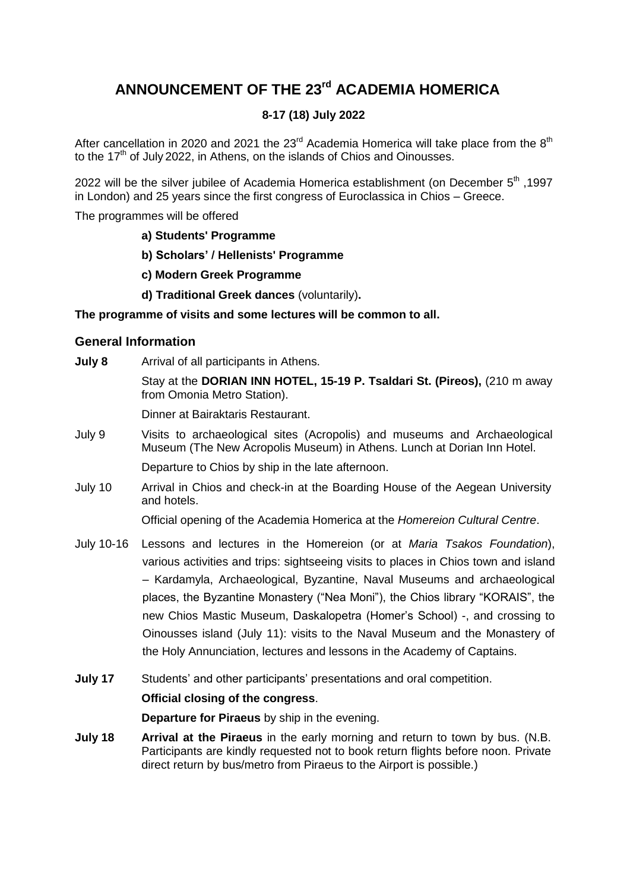# **ANNOUNCEMENT OF THE 23 rd ACADEMIA HOMERICA**

# **8-17 (18) July 2022**

After cancellation in 2020 and 2021 the 23<sup>rd</sup> Academia Homerica will take place from the 8<sup>th</sup> to the 17<sup>th</sup> of July 2022, in Athens, on the islands of Chios and Oinousses.

1997, <sup>th</sup> be the silver jubilee of Academia Homerica establishment (on December 5<sup>th</sup>, 1997 in London) and 25 years since the first congress of Euroclassica in Chios – Greece.

The programmes will be offered

- **a) Students' Programme**
- **b) Scholars' / Hellenists' Programme**
- **c) Modern Greek Programme**
- **d) Traditional Greek dances** (voluntarily)**.**

#### **The programme of visits and some lectures will be common to all.**

#### **General Information**

- **July 8** Arrival of all participants in Athens. Stay at the **DORIAN INN HOTEL, 15-19 P. Tsaldari St. (Pireos),** (210 m away from Omonia Metro Station). Dinner at Bairaktaris Restaurant. July 9 Visits to archaeological sites (Acropolis) and museums and Archaeological Museum (The New Acropolis Museum) in Athens. Lunch at Dorian Inn Hotel. Departure to Chios by ship in the late afternoon.
- July 10 Arrival in Chios and check-in at the Boarding House of the Aegean University and hotels.

Official opening of the Academia Homerica at the *Homereion Cultural Centre*.

- July 10-16 Lessons and lectures in the Homereion (or at *Maria Tsakos Foundation*), various activities and trips: sightseeing visits to places in Chios town and island – Kardamyla, Archaeological, Byzantine, Naval Museums and archaeological places, the Byzantine Monastery ("Nea Moni"), the Chios library "KORAIS", the new Chios Mastic Museum, Daskalopetra (Homer's School) -, and crossing to Oinousses island (July 11): visits to the Naval Museum and the Monastery of the Holy Annunciation, lectures and lessons in the Academy of Captains.
- **July 17** Students' and other participants' presentations and oral competition.

#### **Official closing of the congress**.

**Departure for Piraeus** by ship in the evening.

**July 18 Arrival at the Piraeus** in the early morning and return to town by bus. (N.B. Participants are kindly requested not to book return flights before noon. Private direct return by bus/metro from Piraeus to the Airport is possible.)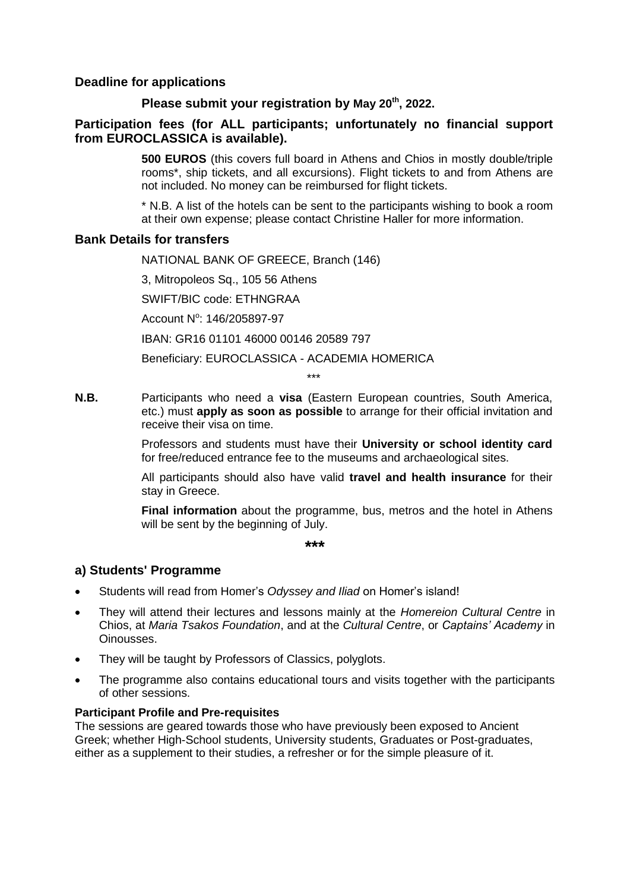## **Deadline for applications**

# **Please submit your registration by May 20 th, 2022.**

# **Participation fees (for ALL participants; unfortunately no financial support from EUROCLASSICA is available).**

**500 EUROS** (this covers full board in Athens and Chios in mostly double/triple rooms\*, ship tickets, and all excursions). Flight tickets to and from Athens are not included. No money can be reimbursed for flight tickets.

\* N.B. A list of the hotels can be sent to the participants wishing to book a room at their own expense; please contact Christine Haller for more information.

#### **Bank Details for transfers**

NATIONAL BANK OF GREECE, Branch (146)

3, Mitropoleos Sq., 105 56 Athens

SWIFT/BIC code: ETHNGRAA

Account N°: 146/205897-97

IBAN: GR16 01101 46000 00146 20589 797

Beneficiary: EUROCLASSICA - ACADEMIA HOMERICA

\*\*\*

**N.B.** Participants who need a **visa** (Eastern European countries, South America, etc.) must **apply as soon as possible** to arrange for their official invitation and receive their visa on time.

> Professors and students must have their **University or school identity card** for free/reduced entrance fee to the museums and archaeological sites.

> All participants should also have valid **travel and health insurance** for their stay in Greece.

> **Final information** about the programme, bus, metros and the hotel in Athens will be sent by the beginning of July.

> > **\*\*\***

#### **a) Students' Programme**

- Students will read from Homer's *Odyssey and Iliad* on Homer's island!
- They will attend their lectures and lessons mainly at the *Homereion Cultural Centre* in Chios, at *Maria Tsakos Foundation*, and at the *Cultural Centre*, or *Captains' Academy* in Oinousses.
- They will be taught by Professors of Classics, polyglots.
- The programme also contains educational tours and visits together with the participants of other sessions.

#### **Participant Profile and Pre-requisites**

The sessions are geared towards those who have previously been exposed to Ancient Greek; whether High-School students, University students, Graduates or Post-graduates, either as a supplement to their studies, a refresher or for the simple pleasure of it.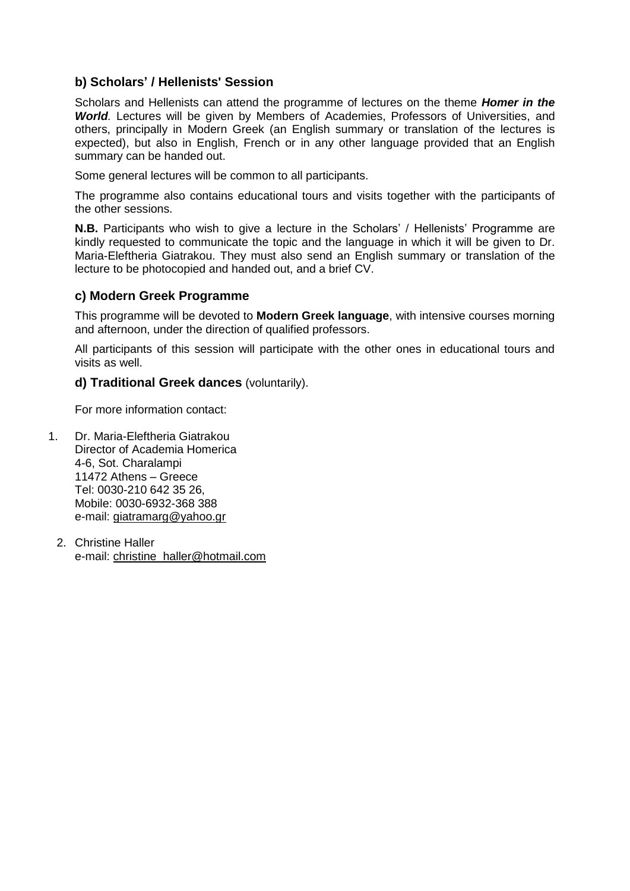# **b) Scholars' / Hellenists' Session**

Scholars and Hellenists can attend the programme of lectures on the theme *Homer in the World.* Lectures will be given by Members of Academies, Professors of Universities, and others, principally in Modern Greek (an English summary or translation of the lectures is expected), but also in English, French or in any other language provided that an English summary can be handed out.

Some general lectures will be common to all participants.

The programme also contains educational tours and visits together with the participants of the other sessions.

**N.B.** Participants who wish to give a lecture in the Scholars' / Hellenists' Programme are kindly requested to communicate the topic and the language in which it will be given to Dr. Maria-Eleftheria Giatrakou. They must also send an English summary or translation of the lecture to be photocopied and handed out, and a brief CV.

# **c) Modern Greek Programme**

This programme will be devoted to **Modern Greek language**, with intensive courses morning and afternoon, under the direction of qualified professors.

All participants of this session will participate with the other ones in educational tours and visits as well.

#### **d) Traditional Greek dances** (voluntarily).

For more information contact:

- 1. Dr. Maria-Eleftheria Giatrakou Director of Academia Homerica 4-6, Sot. Charalampi 11472 Athens – Greece Tel: 0030-210 642 35 26, Mobile: 0030-6932-368 388 e-mail: [giatramarg@yahoo.gr](file:///C:/Users/Christine/Documents/Euroclassica/Academiae/acad%20homerica/AH2017/giatramarg@yahoo.gr)
	- 2. Christine Haller e-mail: [christine\\_haller@hotmail.com](file:///C:/Users/Christine/Documents/Euroclassica/Academiae/acad%20homerica/AH2017/christine_haller@hotmail.com)